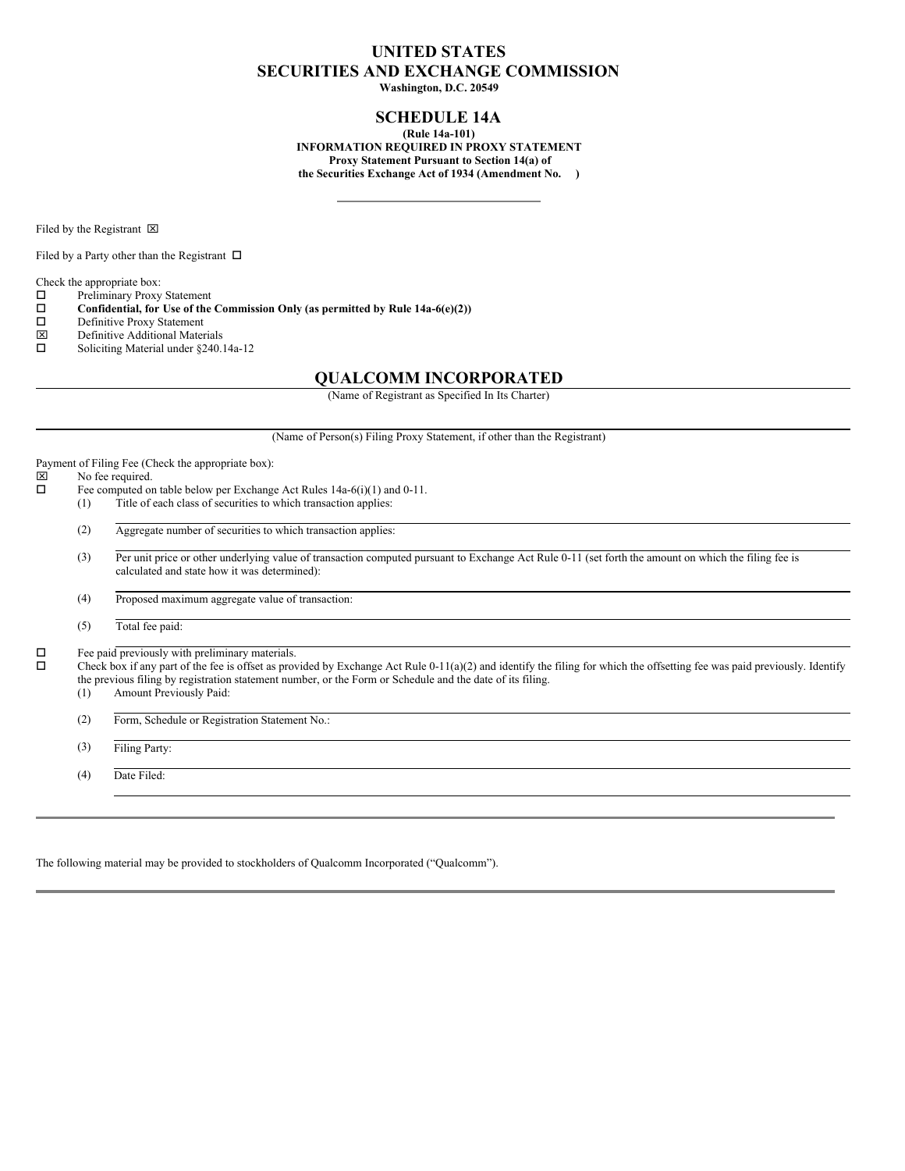## **UNITED STATES SECURITIES AND EXCHANGE COMMISSION**

**Washington, D.C. 20549**

### **SCHEDULE 14A**

**(Rule 14a-101) INFORMATION REQUIRED IN PROXY STATEMENT Proxy Statement Pursuant to Section 14(a) of the Securities Exchange Act of 1934 (Amendment No. )**

Filed by the Registrant  $\boxtimes$ 

Filed by a Party other than the Registrant  $\Box$ 

Check the appropriate box:

 $\square$  Preliminary Proxy Statement<br> $\square$  Confidential, for Use of the

**Confidential, for** Use of the Commission Only (as permitted by Rule 14a-6(e)(2)) Definitive Proxy Statement

- $\square$  Definitive Proxy Statement<br>  $\square$  Definitive Additional Mater
- $\boxtimes$  Definitive Additional Materials<br> $\square$  Soliciting Material under \$240.
- Soliciting Material under §240.14a-12

### **QUALCOMM INCORPORATED**

(Name of Registrant as Specified In Its Charter)

(Name of Person(s) Filing Proxy Statement, if other than the Registrant) Payment of Filing Fee (Check the appropriate box):<br> $[\overline{\mathbb{X}}]$  No fee required.  $\boxtimes$  No fee required.<br> $\Box$  Fee computed or Fee computed on table below per Exchange Act Rules 14a-6(i)(1) and 0-11. (1) Title of each class of securities to which transaction applies: (2) Aggregate number of securities to which transaction applies: (3) Per unit price or other underlying value of transaction computed pursuant to Exchange Act Rule 0-11 (set forth the amount on which the filing fee is calculated and state how it was determined): (4) Proposed maximum aggregate value of transaction: (5) Total fee paid:  $\square$  Fee paid previously with preliminary materials.<br> $\square$  Check box if any part of the fee is offset as prov o Check box if any part of the fee is offset as provided by Exchange Act Rule 0-11(a)(2) and identify the filing for which the offsetting fee was paid previously. Identify the previous filing by registration statement number, or the Form or Schedule and the date of its filing.<br>(1) Amount Previously Paid: Amount Previously Paid: (2) Form, Schedule or Registration Statement No.: (3) Filing Party: (4) Date Filed:

The following material may be provided to stockholders of Qualcomm Incorporated ("Qualcomm").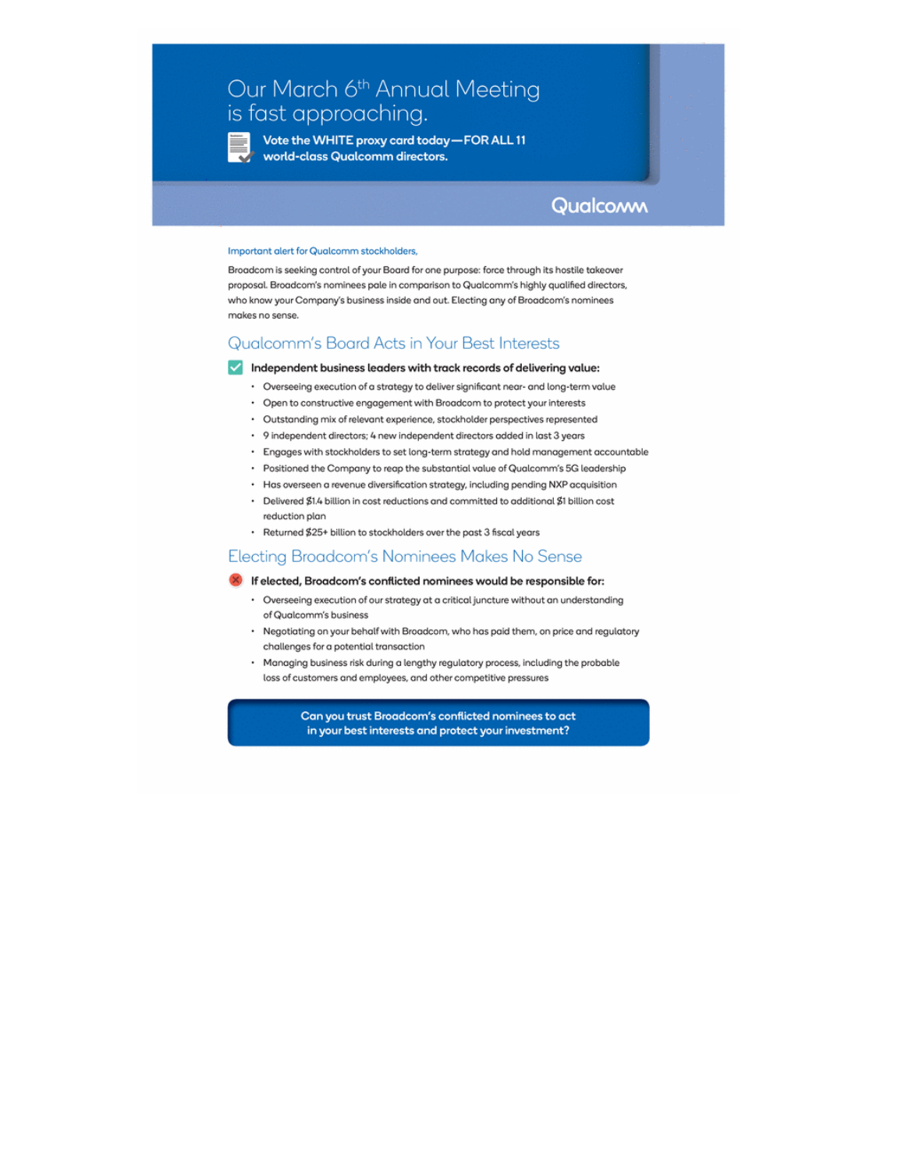# Our March 6th Annual Meeting is fast approaching.

Vote the WHITE proxy card today-FOR ALL 11 world-class Qualcomm directors.

Qualcoww

#### Important alert for Qualcomm stockholders,

Broadcom is seeking control of your Board for one purpose: force through its hostile takeover proposal. Broadcom's nominees pale in comparison to Qualcomm's highly qualified directors, who know your Company's business inside and out. Electing any of Broadcom's nominees makes no sense.

### Qualcomm's Board Acts in Your Best Interests

#### Independent business leaders with track records of delivering value:

- · Overseeing execution of a strategy to deliver significant near- and long-term value
- Open to constructive engagement with Broadcom to protect your interests
- · Outstanding mix of relevant experience, stockholder perspectives represented
- 9 independent directors; 4 new independent directors added in last 3 years
- · Engages with stockholders to set long-term strategy and hold management accountable
- Positioned the Company to reap the substantial value of Qualcomm's 5G leadership
- Has overseen a revenue diversification strategy, including pending NXP acquisition
- Delivered \$1.4 billion in cost reductions and committed to additional \$1 billion cost reduction plan
- · Returned \$25+ billion to stockholders over the past 3 fiscal years

### Electing Broadcom's Nominees Makes No Sense

#### 8 If elected, Broadcom's conflicted nominees would be responsible for:

- Overseeing execution of our strategy at a critical juncture without an understanding of Qualcomm's business
- · Negotiating on your behalf with Broadcom, who has paid them, on price and regulatory challenges for a potential transaction
- · Managing business risk during a lengthy regulatory process, including the probable loss of customers and employees, and other competitive pressures

Can you trust Broadcom's conflicted nominees to act in your best interests and protect your investment?